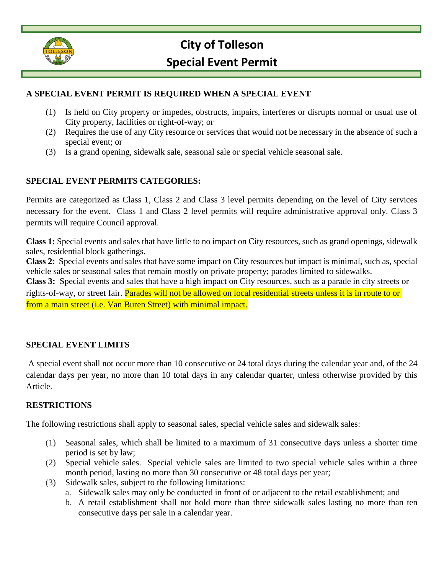

# **City of Tolleson Special Event Permit**

## **A SPECIAL EVENT PERMIT IS REQUIRED WHEN A SPECIAL EVENT**

- (1) Is held on City property or impedes, obstructs, impairs, interferes or disrupts normal or usual use of City property, facilities or right-of-way; or
- (2) Requires the use of any City resource or services that would not be necessary in the absence of such a special event; or
- (3) Is a grand opening, sidewalk sale, seasonal sale or special vehicle seasonal sale.

## **SPECIAL EVENT PERMITS CATEGORIES:**

Permits are categorized as Class 1, Class 2 and Class 3 level permits depending on the level of City services necessary for the event. Class 1 and Class 2 level permits will require administrative approval only. Class 3 permits will require Council approval.

**Class 1:** Special events and sales that have little to no impact on City resources, such as grand openings, sidewalk sales, residential block gatherings.

**Class 2:** Special events and sales that have some impact on City resources but impact is minimal, such as, special vehicle sales or seasonal sales that remain mostly on private property; parades limited to sidewalks.

**Class 3:** Special events and sales that have a high impact on City resources, such as a parade in city streets or rights-of-way, or street fair. Parades will not be allowed on local residential streets unless it is in route to or from a main street (i.e. Van Buren Street) with minimal impact.

## **SPECIAL EVENT LIMITS**

A special event shall not occur more than 10 consecutive or 24 total days during the calendar year and, of the 24 calendar days per year, no more than 10 total days in any calendar quarter, unless otherwise provided by this Article.

## **RESTRICTIONS**

The following restrictions shall apply to seasonal sales, special vehicle sales and sidewalk sales:

- (1) Seasonal sales, which shall be limited to a maximum of 31 consecutive days unless a shorter time period is set by law;
- (2) Special vehicle sales. Special vehicle sales are limited to two special vehicle sales within a three month period, lasting no more than 30 consecutive or 48 total days per year;
- (3) Sidewalk sales, subject to the following limitations:
	- a. Sidewalk sales may only be conducted in front of or adjacent to the retail establishment; and
	- b. A retail establishment shall not hold more than three sidewalk sales lasting no more than ten consecutive days per sale in a calendar year.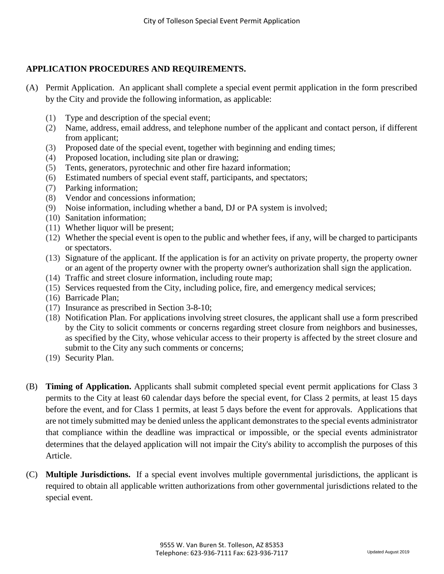## **APPLICATION PROCEDURES AND REQUIREMENTS.**

- (A) Permit Application. An applicant shall complete a special event permit application in the form prescribed by the City and provide the following information, as applicable:
	- (1) Type and description of the special event;
	- (2) Name, address, email address, and telephone number of the applicant and contact person, if different from applicant;
	- (3) Proposed date of the special event, together with beginning and ending times;
	- (4) Proposed location, including site plan or drawing;
	- (5) Tents, generators, pyrotechnic and other fire hazard information;
	- (6) Estimated numbers of special event staff, participants, and spectators;
	- (7) Parking information;
	- (8) Vendor and concessions information;
	- (9) Noise information, including whether a band, DJ or PA system is involved;
	- (10) Sanitation information;
	- (11) Whether liquor will be present;
	- (12) Whether the special event is open to the public and whether fees, if any, will be charged to participants or spectators.
	- (13) Signature of the applicant. If the application is for an activity on private property, the property owner or an agent of the property owner with the property owner's authorization shall sign the application.
	- (14) Traffic and street closure information, including route map;
	- (15) Services requested from the City, including police, fire, and emergency medical services;
	- (16) Barricade Plan;
	- (17) Insurance as prescribed in Section 3-8-10;
	- (18) Notification Plan. For applications involving street closures, the applicant shall use a form prescribed by the City to solicit comments or concerns regarding street closure from neighbors and businesses, as specified by the City, whose vehicular access to their property is affected by the street closure and submit to the City any such comments or concerns;
	- (19) Security Plan.
- (B) **Timing of Application.** Applicants shall submit completed special event permit applications for Class 3 permits to the City at least 60 calendar days before the special event, for Class 2 permits, at least 15 days before the event, and for Class 1 permits, at least 5 days before the event for approvals. Applications that are not timely submitted may be denied unless the applicant demonstrates to the special events administrator that compliance within the deadline was impractical or impossible, or the special events administrator determines that the delayed application will not impair the City's ability to accomplish the purposes of this Article.
- (C) **Multiple Jurisdictions.** If a special event involves multiple governmental jurisdictions, the applicant is required to obtain all applicable written authorizations from other governmental jurisdictions related to the special event.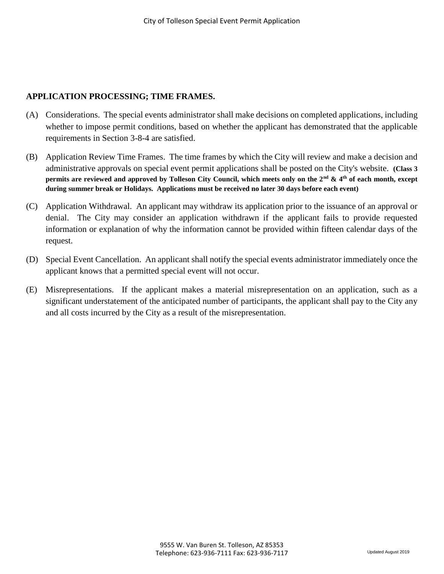## **APPLICATION PROCESSING; TIME FRAMES.**

- (A) Considerations. The special events administrator shall make decisions on completed applications, including whether to impose permit conditions, based on whether the applicant has demonstrated that the applicable requirements in Section 3-8-4 are satisfied.
- (B) Application Review Time Frames. The time frames by which the City will review and make a decision and administrative approvals on special event permit applications shall be posted on the City's website. **(Class 3 permits are reviewed and approved by Tolleson City Council, which meets only on the 2nd & 4th of each month, except during summer break or Holidays. Applications must be received no later 30 days before each event)**
- (C) Application Withdrawal. An applicant may withdraw its application prior to the issuance of an approval or denial. The City may consider an application withdrawn if the applicant fails to provide requested information or explanation of why the information cannot be provided within fifteen calendar days of the request.
- (D) Special Event Cancellation. An applicant shall notify the special events administrator immediately once the applicant knows that a permitted special event will not occur.
- (E) Misrepresentations. If the applicant makes a material misrepresentation on an application, such as a significant understatement of the anticipated number of participants, the applicant shall pay to the City any and all costs incurred by the City as a result of the misrepresentation.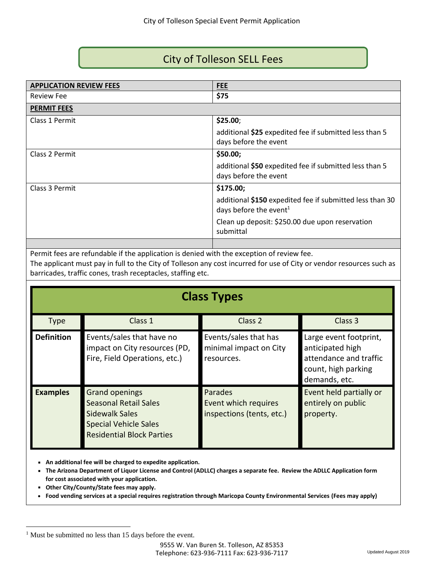## City of Tolleson SELL Fees

| <b>APPLICATION REVIEW FEES</b> | <b>FEE</b>                                                                                     |
|--------------------------------|------------------------------------------------------------------------------------------------|
| <b>Review Fee</b>              | \$75                                                                                           |
| <b>PERMIT FEES</b>             |                                                                                                |
| Class 1 Permit                 | \$25.00;                                                                                       |
|                                | additional \$25 expedited fee if submitted less than 5<br>days before the event                |
| Class 2 Permit                 | \$50.00;                                                                                       |
|                                | additional \$50 expedited fee if submitted less than 5<br>days before the event                |
| Class 3 Permit                 | \$175.00;                                                                                      |
|                                | additional \$150 expedited fee if submitted less than 30<br>days before the event <sup>1</sup> |
|                                | Clean up deposit: \$250.00 due upon reservation<br>submittal                                   |
|                                |                                                                                                |

Permit fees are refundable if the application is denied with the exception of review fee.

The applicant must pay in full to the City of Tolleson any cost incurred for use of City or vendor resources such as barricades, traffic cones, trash receptacles, staffing etc.

## **Class Types**

| <b>Type</b>       | Class 1                                                                                                                                     | Class <sub>2</sub>                                            | Class 3                                                                                                      |
|-------------------|---------------------------------------------------------------------------------------------------------------------------------------------|---------------------------------------------------------------|--------------------------------------------------------------------------------------------------------------|
|                   |                                                                                                                                             |                                                               |                                                                                                              |
| <b>Definition</b> | Events/sales that have no<br>impact on City resources (PD,<br>Fire, Field Operations, etc.)                                                 | Events/sales that has<br>minimal impact on City<br>resources. | Large event footprint,<br>anticipated high<br>attendance and traffic<br>count, high parking<br>demands, etc. |
| <b>Examples</b>   | <b>Grand openings</b><br><b>Seasonal Retail Sales</b><br>Sidewalk Sales<br><b>Special Vehicle Sales</b><br><b>Residential Block Parties</b> | Parades<br>Event which requires<br>inspections (tents, etc.)  | Event held partially or<br>entirely on public<br>property.                                                   |

**An additional fee will be charged to expedite application.**

 **The Arizona Department of Liquor License and Control (ADLLC) charges a separate fee. Review the ADLLC Application form for cost associated with your application.**

- **Other City/County/State fees may apply.**
- **Food vending services at a special requires registration through Maricopa County Environmental Services (Fees may apply)**

<sup>&</sup>lt;sup>1</sup> Must be submitted no less than 15 days before the event.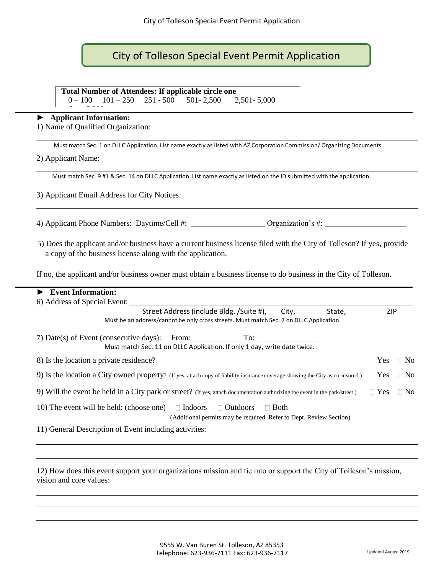## City of Tolleson Special Event Permit Application

 $0 - 100$   $101 - 250$   $251 - 500$   $501 - 2500$   $2501 - 5000$ 

#### ► **Applicant Information:** Over 5,000

1) Name of Qualified Organization:

Must match Sec. 1 on DLLC Application. List name exactly as listed with AZ Corporation Commission/ Organizing Documents.

2) Applicant Name:

Must match Sec. 9 #1 & Sec. 14 on DLLC Application. List name exactly as listed on the ID submitted with the application.

3) Applicant Email Address for City Notices:

4) Applicant Phone Numbers: Daytime/Cell #: Organization's #:

5) Does the applicant and/or business have a current business license filed with the City of Tolleson? If yes, provide a copy of the business license along with the application.

If no, the applicant and/or business owner must obtain a business license to do business in the City of Tolleson.

| <b>Event Information:</b>                                                                                                       |            |                |
|---------------------------------------------------------------------------------------------------------------------------------|------------|----------------|
| 6) Address of Special Event:                                                                                                    |            |                |
| Street Address (include Bldg. /Suite #),<br>City,<br>State,                                                                     | ZIP        |                |
| Must be an address/cannot be only cross streets. Must match Sec. 7 on DLLC Application.                                         |            |                |
| 7) Date(s) of Event (consecutive days): From:<br>To:                                                                            |            |                |
| Must match Sec. 11 on DLLC Application. If only 1 day, write date twice.                                                        |            |                |
| 8) Is the location a private residence?                                                                                         | $\Box$ Yes | N <sub>o</sub> |
| 9) Is the location a City owned property? (If yes, attach copy of liability insurance coverage showing the City as co-insured.) | $\Box$ Yes | N <sub>o</sub> |
| 9) Will the event be held in a City park or street? (If yes, attach documentation authorizing the event in the park/street.)    | $\Box$ Yes | N <sub>0</sub> |
| 10) The event will be held: (choose one) $\Box$ Indoors<br>$\Box$ Outdoors<br><b>Both</b><br>$\mathbf{I}$                       |            |                |
| (Additional permits may be required. Refer to Dept. Review Section)                                                             |            |                |
| 11) General Description of Event including activities:                                                                          |            |                |

12) How does this event support your organizations mission and tie into or support the City of Tolleson's mission, vision and core values: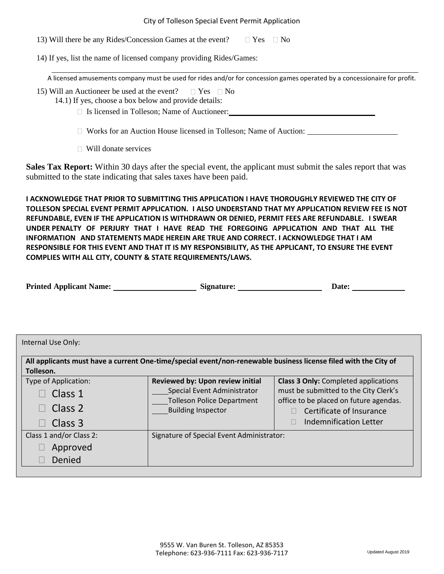13) Will there be any Rides/Concession Games at the event?  $\Box$  Yes  $\Box$  No

14) If yes, list the name of licensed company providing Rides/Games:

A licensed amusements company must be used for rides and/or for concession games operated by a concessionaire for profit.

- 15) Will an Auctioneer be used at the event?  $\Box$  Yes  $\Box$  No 14.1) If yes, choose a box below and provide details:
	- □ Is licensed in Tolleson; Name of Auctioneer:

Works for an Auction House licensed in Tolleson; Name of Auction:

□ Will donate services

**Sales Tax Report:** Within 30 days after the special event, the applicant must submit the sales report that was submitted to the state indicating that sales taxes have been paid.

**I ACKNOWLEDGE THAT PRIOR TO SUBMITTING THIS APPLICATION I HAVE THOROUGHLY REVIEWED THE CITY OF TOLLESON SPECIAL EVENT PERMIT APPLICATION. I ALSO UNDERSTAND THAT MY APPLICATION REVIEW FEE IS NOT REFUNDABLE, EVEN IF THE APPLICATION IS WITHDRAWN OR DENIED, PERMIT FEES ARE REFUNDABLE. I SWEAR UNDER PENALTY OF PERJURY THAT I HAVE READ THE FOREGOING APPLICATION AND THAT ALL THE INFORMATION AND STATEMENTS MADE HEREIN ARE TRUE AND CORRECT. I ACKNOWLEDGE THAT I AM RESPONSIBLE FOR THIS EVENT AND THAT IT IS MY RESPONSIBILITY, AS THE APPLICANT, TO ENSURE THE EVENT COMPLIES WITH ALL CITY, COUNTY & STATE REQUIREMENTS/LAWS.** 

| <b>Printed Applicant Name:</b> | Signature: | <b>Date:</b> |  |
|--------------------------------|------------|--------------|--|
|                                |            |              |  |

|                         | All applicants must have a current One-time/special event/non-renewable business license filed with the City of |                                             |
|-------------------------|-----------------------------------------------------------------------------------------------------------------|---------------------------------------------|
| Tolleson.               |                                                                                                                 |                                             |
| Type of Application:    | Reviewed by: Upon review initial                                                                                | <b>Class 3 Only:</b> Completed applications |
| Class 1                 | Special Event Administrator                                                                                     | must be submitted to the City Clerk's       |
|                         | <b>Tolleson Police Department</b>                                                                               | office to be placed on future agendas.      |
| Class 2                 | <b>Building Inspector</b>                                                                                       | Certificate of Insurance                    |
| Class 3                 |                                                                                                                 | Indemnification Letter                      |
| Class 1 and/or Class 2: | Signature of Special Event Administrator:                                                                       |                                             |
| Approved                |                                                                                                                 |                                             |
| Denied                  |                                                                                                                 |                                             |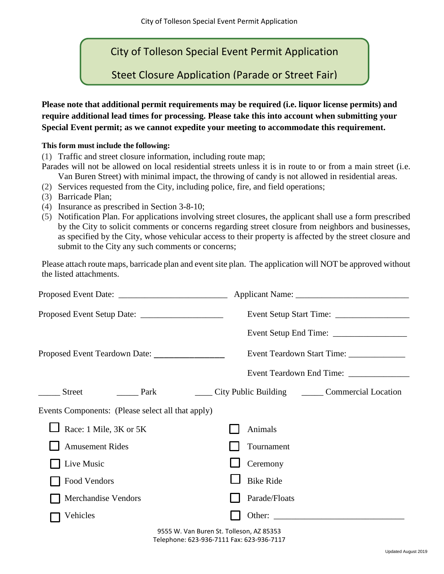City of Tolleson Special Event Permit Application

Steet Closure Application (Parade or Street Fair)

**Please note that additional permit requirements may be required (i.e. liquor license permits) and require additional lead times for processing. Please take this into account when submitting your Special Event permit; as we cannot expedite your meeting to accommodate this requirement.** 

#### **This form must include the following:**

(1) Traffic and street closure information, including route map;

- Parades will not be allowed on local residential streets unless it is in route to or from a main street (i.e. Van Buren Street) with minimal impact, the throwing of candy is not allowed in residential areas.
- (2) Services requested from the City, including police, fire, and field operations;
- (3) Barricade Plan;
- (4) Insurance as prescribed in Section 3-8-10;
- (5) Notification Plan. For applications involving street closures, the applicant shall use a form prescribed by the City to solicit comments or concerns regarding street closure from neighbors and businesses, as specified by the City, whose vehicular access to their property is affected by the street closure and submit to the City any such comments or concerns;

Please attach route maps, barricade plan and event site plan. The application will NOT be approved without the listed attachments.

| Proposed Event Teardown Date:                     | Event Teardown Start Time: _____________                                                                                                                                                                                       |
|---------------------------------------------------|--------------------------------------------------------------------------------------------------------------------------------------------------------------------------------------------------------------------------------|
|                                                   | Event Teardown End Time: _____________                                                                                                                                                                                         |
| Street<br><b>Park</b>                             | City Public Building Commercial Location                                                                                                                                                                                       |
| Events Components: (Please select all that apply) |                                                                                                                                                                                                                                |
| Race: 1 Mile, 3K or 5K                            | Animals                                                                                                                                                                                                                        |
| <b>Amusement Rides</b>                            | Tournament                                                                                                                                                                                                                     |
| Live Music                                        | Ceremony                                                                                                                                                                                                                       |
| Food Vendors                                      | <b>Bike Ride</b>                                                                                                                                                                                                               |
| <b>Merchandise Vendors</b>                        | Parade/Floats                                                                                                                                                                                                                  |
| Vehicles                                          | Other: the contract of the contract of the contract of the contract of the contract of the contract of the contract of the contract of the contract of the contract of the contract of the contract of the contract of the con |

9555 W. Van Buren St. Tolleson, AZ 85353 Telephone: 623-936-7111 Fax: 623-936-7117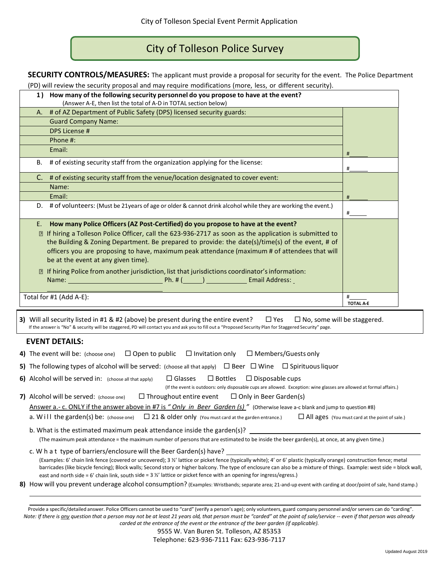## City of Tolleson Police Survey

**SECURITY CONTROLS/MEASURES:** The applicant must provide a proposal for security for the event. The Police Department

(PD) will review the security proposal and may require modifications (more, less, or different security).

|    | 1) How many of the following security personnel do you propose to have at the event?                                                                                                                                                                                                                 |                  |
|----|------------------------------------------------------------------------------------------------------------------------------------------------------------------------------------------------------------------------------------------------------------------------------------------------------|------------------|
|    | (Answer A-E, then list the total of A-D in TOTAL section below)                                                                                                                                                                                                                                      |                  |
| А. | # of AZ Department of Public Safety (DPS) licensed security guards:                                                                                                                                                                                                                                  |                  |
|    | <b>Guard Company Name:</b>                                                                                                                                                                                                                                                                           |                  |
|    | DPS License #                                                                                                                                                                                                                                                                                        |                  |
|    | Phone #:                                                                                                                                                                                                                                                                                             |                  |
|    | Email:                                                                                                                                                                                                                                                                                               | #                |
| В. | # of existing security staff from the organization applying for the license:                                                                                                                                                                                                                         | #                |
|    | C. # of existing security staff from the venue/location designated to cover event:                                                                                                                                                                                                                   |                  |
|    | Name:                                                                                                                                                                                                                                                                                                |                  |
|    | Email:                                                                                                                                                                                                                                                                                               | #                |
|    | D. # of volunteers: (Must be 21 years of age or older & cannot drink alcohol while they are working the event.)                                                                                                                                                                                      | #                |
|    | E. How many Police Officers (AZ Post-Certified) do you propose to have at the event?                                                                                                                                                                                                                 |                  |
|    | If hiring a Tolleson Police Officer, call the 623-936-2717 as soon as the application is submitted to                                                                                                                                                                                                |                  |
|    | the Building & Zoning Department. Be prepared to provide: the date(s)/time(s) of the event, # of                                                                                                                                                                                                     |                  |
|    | officers you are proposing to have, maximum peak attendance (maximum # of attendees that will                                                                                                                                                                                                        |                  |
|    | be at the event at any given time).                                                                                                                                                                                                                                                                  |                  |
|    | If hiring Police from another jurisdiction, list that jurisdictions coordinator's information:                                                                                                                                                                                                       |                  |
|    | Name: <u>Name:</u> Ph. # (Name: 2008) Ph. # (Name: 2008) Ph. # (Name: 2008) Ph. # (Name: 2008) Ph. # (Name: 2008) Ph. # (Name: 2008) Ph. # (Name: 2008) Ph. # (Name: 2008) Ph. # (Name: 2008) Ph. # (Name: 2008) Ph. # (Name: 2008)                                                                  |                  |
|    |                                                                                                                                                                                                                                                                                                      |                  |
|    | Total for #1 (Add A-E):                                                                                                                                                                                                                                                                              | #                |
|    |                                                                                                                                                                                                                                                                                                      | <b>TOTAL A-E</b> |
|    | 3) Will all security listed in #1 & #2 (above) be present during the entire event?<br>$\square$ Yes<br>$\Box$ No, some will be staggered.<br>If the answer is "No" & security will be staggered, PD will contact you and ask you to fill out a "Proposed Security Plan for Staggered Security" page. |                  |
|    | <b>EVENT DETAILS:</b>                                                                                                                                                                                                                                                                                |                  |
|    | 4) The event will be: (choose one)<br>$\Box$ Open to public<br>$\Box$ Invitation only<br>$\Box$ Members/Guests only                                                                                                                                                                                  |                  |
|    | 5) The following types of alcohol will be served: (choose all that apply) $\Box$ Beer $\Box$ Wine $\Box$ Spirituous liquor                                                                                                                                                                           |                  |
|    | 6) Alcohol will be served in: (choose all that apply)<br>$\Box$ Glasses<br>$\square$ Bottles<br>$\Box$ Disposable cups<br>(If the event is outdoors: only disposable cups are allowed. Exception: wine glasses are allowed at formal affairs.)                                                       |                  |
|    | 7) Alcohol will be served: (choose one)<br>$\Box$ Throughout entire event<br>$\Box$ Only in Beer Garden(s)                                                                                                                                                                                           |                  |

Answer a.- c. ONLY if the answer above in #7 is *" Only in Beer Garden (s) "* (Otherwise leave a-c blank and jump to question #8)

a. W ill the garden(s) be: (choose one)  $\Box$  21 & older only (You must card at the garden entrance.)  $\Box$  All ages (You must card at the point of sale.)

b. What is the estimated maximum peak attendance inside the garden(s)? (The maximum peak attendance = the maximum number of persons that are estimated to be inside the beer garden(s), at once, at any given time.)

c. W h a t type of barriers/enclosure will the Beer Garden(s) have? (Examples: 6' chain link fence (covered or uncovered); 3 ½' lattice or picket fence (typically white); 4' or 6' plastic (typically orange) construction fence; metal barricades (like bicycle fencing); Block walls; Second story or higher balcony. The type of enclosure can also be a mixture of things. Example: west side = block wall, east and north side = 6' chain link, south side = 3 %' lattice or picket fence with an opening for ingress/egress.)

**8)** How will you prevent underage alcohol consumption? (Examples: Wristbands; separate area; 21-and-up event with carding at door/point of sale, hand stamp.)

Provide a specific/detailed answer. Police Officers cannot be used to "card" (verify a person's age); only volunteers, guard company personnel and/or servers can do "carding". *Note: If there is any question that a person may not be at least 21 years old, that person must be "carded" at the point of sale/service -- even if that person was already carded at the entrance of the event or the entrance of the beer garden (if applicable).*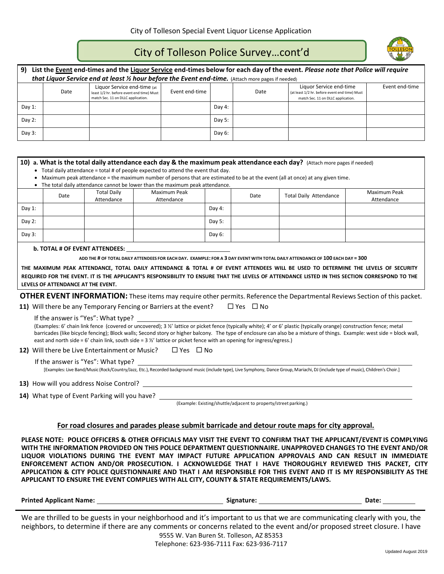## City of Tolleson Police Survey…cont'd

| List the Event end-times and the Liguor Service end-times below for each day of the event. Please note that Police will require<br>9)<br>that Liquor Service end at least 1/2 hour before the Event end-time. (Attach more pages if needed) |      |                                                                                                                |                |        |      |                                                                                                                |                |
|---------------------------------------------------------------------------------------------------------------------------------------------------------------------------------------------------------------------------------------------|------|----------------------------------------------------------------------------------------------------------------|----------------|--------|------|----------------------------------------------------------------------------------------------------------------|----------------|
|                                                                                                                                                                                                                                             | Date | Liquor Service end-time (at<br>least 1/2 hr. before event end time) Must<br>match Sec. 11 on DLLC application. | Event end-time |        | Date | Liquor Service end-time<br>(at least 1/2 hr. before event end time) Must<br>match Sec. 11 on DLLC application. | Event end-time |
| Day $1$ :                                                                                                                                                                                                                                   |      |                                                                                                                |                | Day 4: |      |                                                                                                                |                |
| Day $2:$                                                                                                                                                                                                                                    |      |                                                                                                                |                | Day 5: |      |                                                                                                                |                |
| Day 3:                                                                                                                                                                                                                                      |      |                                                                                                                |                | Day 6: |      |                                                                                                                |                |
|                                                                                                                                                                                                                                             |      |                                                                                                                |                |        |      |                                                                                                                |                |

|           |                                                                                                                                                                                                                                                                                                                                                                                                                                                                          |                                  |                                                                                                                                                                                                                                |                                                                  |                      | 10) a. What is the total daily attendance each day & the maximum peak attendance each day? (Attach more pages if needed)                      |                            |
|-----------|--------------------------------------------------------------------------------------------------------------------------------------------------------------------------------------------------------------------------------------------------------------------------------------------------------------------------------------------------------------------------------------------------------------------------------------------------------------------------|----------------------------------|--------------------------------------------------------------------------------------------------------------------------------------------------------------------------------------------------------------------------------|------------------------------------------------------------------|----------------------|-----------------------------------------------------------------------------------------------------------------------------------------------|----------------------------|
|           |                                                                                                                                                                                                                                                                                                                                                                                                                                                                          |                                  | • Total daily attendance = total # of people expected to attend the event that day.                                                                                                                                            |                                                                  |                      |                                                                                                                                               |                            |
|           |                                                                                                                                                                                                                                                                                                                                                                                                                                                                          |                                  |                                                                                                                                                                                                                                |                                                                  |                      | Maximum peak attendance = the maximum number of persons that are estimated to be at the event (all at once) at any given time.                |                            |
|           |                                                                                                                                                                                                                                                                                                                                                                                                                                                                          |                                  | • The total daily attendance cannot be lower than the maximum peak attendance.                                                                                                                                                 |                                                                  |                      |                                                                                                                                               |                            |
|           | Date                                                                                                                                                                                                                                                                                                                                                                                                                                                                     | <b>Total Daily</b><br>Attendance | Maximum Peak<br>Attendance                                                                                                                                                                                                     |                                                                  | Date                 | <b>Total Daily Attendance</b>                                                                                                                 | Maximum Peak<br>Attendance |
| Day $1$ : |                                                                                                                                                                                                                                                                                                                                                                                                                                                                          |                                  |                                                                                                                                                                                                                                | Day 4:                                                           |                      |                                                                                                                                               |                            |
| Day $2:$  |                                                                                                                                                                                                                                                                                                                                                                                                                                                                          |                                  |                                                                                                                                                                                                                                | Day 5:                                                           |                      |                                                                                                                                               |                            |
| Day 3:    |                                                                                                                                                                                                                                                                                                                                                                                                                                                                          |                                  |                                                                                                                                                                                                                                | Day 6:                                                           |                      |                                                                                                                                               |                            |
|           |                                                                                                                                                                                                                                                                                                                                                                                                                                                                          |                                  | b. TOTAL # OF EVENT ATTENDEES: North and the set of the set of the set of the set of the set of the set of the set of the set of the set of the set of the set of the set of the set of the set of the set of the set of the s |                                                                  |                      |                                                                                                                                               |                            |
|           |                                                                                                                                                                                                                                                                                                                                                                                                                                                                          |                                  |                                                                                                                                                                                                                                |                                                                  |                      | ADD THE # OF TOTAL DAILY ATTENDEES FOR EACH DAY. EXAMPLE: FOR A 3 DAY EVENT WITH TOTAL DAILY ATTENDANCE OF 100 EACH DAY = 300                 |                            |
|           |                                                                                                                                                                                                                                                                                                                                                                                                                                                                          |                                  |                                                                                                                                                                                                                                |                                                                  |                      | THE MAXIMUM PEAK ATTENDANCE, TOTAL DAILY ATTENDANCE & TOTAL # OF EVENT ATTENDEES WILL BE USED TO DETERMINE THE LEVELS OF SECURITY             |                            |
|           |                                                                                                                                                                                                                                                                                                                                                                                                                                                                          |                                  |                                                                                                                                                                                                                                |                                                                  |                      | REQUIRED FOR THE EVENT. IT IS THE APPLICANT'S RESPONSIBILITY TO ENSURE THAT THE LEVELS OF ATTENDANCE LISTED IN THIS SECTION CORRESPOND TO THE |                            |
|           | LEVELS OF ATTENDANCE AT THE EVENT.                                                                                                                                                                                                                                                                                                                                                                                                                                       |                                  |                                                                                                                                                                                                                                |                                                                  |                      |                                                                                                                                               |                            |
|           |                                                                                                                                                                                                                                                                                                                                                                                                                                                                          |                                  |                                                                                                                                                                                                                                |                                                                  |                      |                                                                                                                                               |                            |
|           | <b>OTHER EVENT INFORMATION:</b> These items may require other permits. Reference the Departmental Reviews Section of this packet.<br>11) Will there be any Temporary Fencing or Barriers at the event?                                                                                                                                                                                                                                                                   |                                  |                                                                                                                                                                                                                                |                                                                  |                      |                                                                                                                                               |                            |
|           |                                                                                                                                                                                                                                                                                                                                                                                                                                                                          |                                  |                                                                                                                                                                                                                                |                                                                  | $\Box$ Yes $\Box$ No |                                                                                                                                               |                            |
|           |                                                                                                                                                                                                                                                                                                                                                                                                                                                                          |                                  | If the answer is "Yes": What type?                                                                                                                                                                                             |                                                                  |                      |                                                                                                                                               |                            |
|           | (Examples: 6' chain link fence (covered or uncovered); 3 1/2' lattice or picket fence (typically white); 4' or 6' plastic (typically orange) construction fence; metal<br>barricades (like bicycle fencing); Block walls; Second story or higher balcony. The type of enclosure can also be a mixture of things. Example: west side = block wall,<br>east and north side = 6' chain link, south side = 3 %' lattice or picket fence with an opening for ingress/egress.) |                                  |                                                                                                                                                                                                                                |                                                                  |                      |                                                                                                                                               |                            |
|           | <b>12)</b> Will there be Live Entertainment or Music? $\Box$ Yes $\Box$ No                                                                                                                                                                                                                                                                                                                                                                                               |                                  |                                                                                                                                                                                                                                |                                                                  |                      |                                                                                                                                               |                            |
|           | If the answer is "Yes": What type?<br>[Examples: Live Band/Music (Rock/Country/Jazz, Etc.), Recorded background music (include type), Live Symphony, Dance Group, Mariachi, DJ (include type of music), Children's Choir.]                                                                                                                                                                                                                                               |                                  |                                                                                                                                                                                                                                |                                                                  |                      |                                                                                                                                               |                            |
|           |                                                                                                                                                                                                                                                                                                                                                                                                                                                                          |                                  |                                                                                                                                                                                                                                |                                                                  |                      |                                                                                                                                               |                            |
|           | 14) What type of Event Parking will you have?                                                                                                                                                                                                                                                                                                                                                                                                                            |                                  |                                                                                                                                                                                                                                |                                                                  |                      |                                                                                                                                               |                            |
|           |                                                                                                                                                                                                                                                                                                                                                                                                                                                                          |                                  |                                                                                                                                                                                                                                | (Example: Existing/shuttle/adjacent to property/street parking.) |                      |                                                                                                                                               |                            |

#### **For road closures and parades please submit barricade and detour route maps for city approval.**

**PLEASE NOTE: POLICE OFFICERS & OTHER OFFICIALS MAY VISIT THE EVENT TO CONFIRM THAT THE APPLICANT/EVENT IS COMPLYING WITH THE INFORMATION PROVIDED ON THIS POLICE DEPARTMENT QUESTIONNAIRE. UNAPPROVED CHANGES TO THE EVENT AND/OR LIQUOR VIOLATIONS DURING THE EVENT MAY IMPACT FUTURE APPLICATION APPROVALS AND CAN RESULT IN IMMEDIATE ENFORCEMENT ACTION AND/OR PROSECUTION. I ACKNOWLEDGE THAT I HAVE THOROUGHLY REVIEWED THIS PACKET, CITY APPLICATION & CITY POLICE QUESTIONNAIRE AND THAT I AM RESPONSIBLE FOR THIS EVENT AND IT IS MY RESPONSIBILITY AS THE APPLICANT TO ENSURE THE EVENT COMPLIES WITH ALL CITY, COUNTY & STATE REQUIREMENTS/LAWS.** 

| <b>Printed Applicant Name:</b> | Signature:                                                                                                                                                                                                                                                                                                                                       | Date: |
|--------------------------------|--------------------------------------------------------------------------------------------------------------------------------------------------------------------------------------------------------------------------------------------------------------------------------------------------------------------------------------------------|-------|
|                                | We are thrilled to be guests in your neighborhood and it's important to us that we are communicating clearly with you, the<br>neighbors, to determine if there are any comments or concerns related to the event and/or proposed street closure. I have<br>9555 W. Van Buren St. Tolleson, AZ 85353<br>Telephone: 623-936-7111 Fax: 623-936-7117 |       |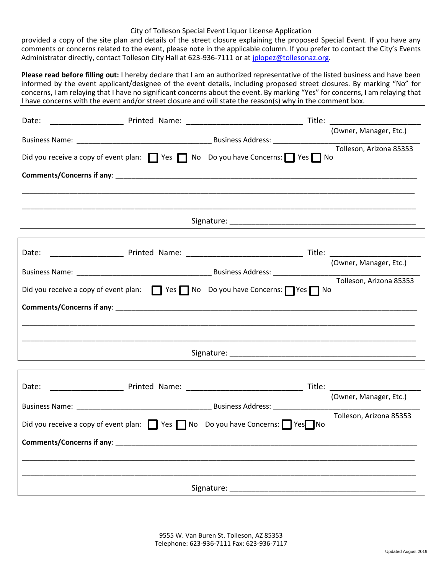#### City of Tolleson Special Event Liquor License Application

provided a copy of the site plan and details of the street closure explaining the proposed Special Event. If you have any comments or concerns related to the event, please note in the applicable column. If you prefer to contact the City's Events Administrator directly, contact Tolleson City Hall at 623-936-7111 or at [jplopez@tollesonaz.org.](mailto:jplopez@tollesonaz.org)

**Please read before filling out:** I hereby declare that I am an authorized representative of the listed business and have been informed by the event applicant/designee of the event details, including proposed street closures. By marking "No" for concerns, I am relaying that I have no significant concerns about the event. By marking "Yes" for concerns, I am relaying that I have concerns with the event and/or street closure and will state the reason(s) why in the comment box.

| Date:                     |                                                                                                                   |                                                                                |
|---------------------------|-------------------------------------------------------------------------------------------------------------------|--------------------------------------------------------------------------------|
|                           |                                                                                                                   | Title: Title: Title: Title: Title: Title: Title: Title: Cowner, Manager, Etc.) |
|                           | Did you receive a copy of event plan:<br>Pes D No Do you have Concerns: Yes D No Do you have Concerns: P Yes D No |                                                                                |
|                           |                                                                                                                   |                                                                                |
|                           |                                                                                                                   |                                                                                |
|                           |                                                                                                                   |                                                                                |
|                           |                                                                                                                   |                                                                                |
|                           |                                                                                                                   | (Owner, Manager, Etc.)                                                         |
|                           | Did you receive a copy of event plan:<br>Pes D Yes D No Do you have Concerns: Nes D No                            | Tolleson, Arizona 85353                                                        |
|                           |                                                                                                                   |                                                                                |
|                           |                                                                                                                   |                                                                                |
|                           |                                                                                                                   |                                                                                |
|                           |                                                                                                                   |                                                                                |
|                           |                                                                                                                   |                                                                                |
|                           |                                                                                                                   | (Owner, Manager, Etc.)                                                         |
|                           | Did you receive a copy of event plan: Ves No Do you have Concerns: Yes No                                         | Tolleson, Arizona 85353                                                        |
| Comments/Concerns if any: |                                                                                                                   |                                                                                |
|                           |                                                                                                                   |                                                                                |
|                           | Signature:                                                                                                        |                                                                                |

9555 W. Van Buren St. Tolleson, AZ 85353 Telephone: 623-936-7111 Fax: 623-936-7117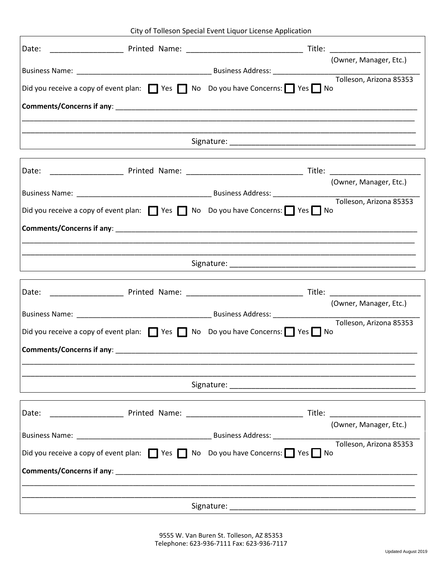City of Tolleson Special Event Liquor License Application

|  | City of Toneson Special Event Eigaor Electisc Application                                             |                         |
|--|-------------------------------------------------------------------------------------------------------|-------------------------|
|  |                                                                                                       | (Owner, Manager, Etc.)  |
|  |                                                                                                       |                         |
|  | Did you receive a copy of event plan: $\Box$ Yes $\Box$ No Do you have Concerns: $\Box$ Yes $\Box$ No |                         |
|  |                                                                                                       |                         |
|  |                                                                                                       |                         |
|  |                                                                                                       |                         |
|  |                                                                                                       |                         |
|  |                                                                                                       |                         |
|  |                                                                                                       | (Owner, Manager, Etc.)  |
|  |                                                                                                       | Tolleson, Arizona 85353 |
|  | Did you receive a copy of event plan: $\Box$ Yes $\Box$ No Do you have Concerns: $\Box$ Yes $\Box$ No |                         |
|  |                                                                                                       |                         |
|  |                                                                                                       |                         |
|  |                                                                                                       |                         |
|  |                                                                                                       |                         |
|  |                                                                                                       |                         |
|  |                                                                                                       | (Owner, Manager, Etc.)  |
|  |                                                                                                       | Tolleson, Arizona 85353 |
|  | Did you receive a copy of event plan: Ves No Do you have Concerns: Yes No                             |                         |
|  |                                                                                                       |                         |
|  |                                                                                                       |                         |
|  |                                                                                                       |                         |
|  |                                                                                                       |                         |
|  |                                                                                                       |                         |
|  |                                                                                                       | (Owner, Manager, Etc.)  |
|  | Did you receive a copy of event plan: Ves No Do you have Concerns: Yes No                             | Tolleson, Arizona 85353 |
|  |                                                                                                       |                         |
|  |                                                                                                       |                         |
|  |                                                                                                       |                         |
|  |                                                                                                       |                         |

9555 W. Van Buren St. Tolleson, AZ 85353 Telephone: 623-936-7111 Fax: 623-936-7117